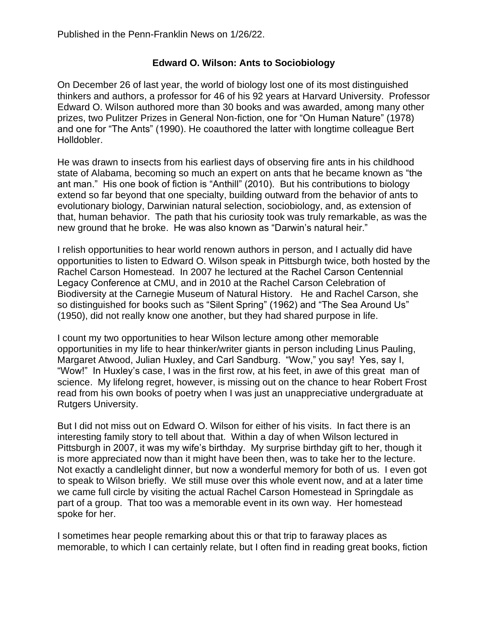## **Edward O. Wilson: Ants to Sociobiology**

On December 26 of last year, the world of biology lost one of its most distinguished thinkers and authors, a professor for 46 of his 92 years at Harvard University. Professor Edward O. Wilson authored more than 30 books and was awarded, among many other prizes, two Pulitzer Prizes in General Non-fiction, one for "On Human Nature" (1978) and one for "The Ants" (1990). He coauthored the latter with longtime colleague Bert H**Ö**lldobler.

He was drawn to insects from his earliest days of observing fire ants in his childhood state of Alabama, becoming so much an expert on ants that he became known as "the ant man." His one book of fiction is "Anthill" (2010). But his contributions to biology extend so far beyond that one specialty, building outward from the behavior of ants to evolutionary biology, Darwinian natural selection, sociobiology, and, as extension of that, human behavior. The path that his curiosity took was truly remarkable, as was the new ground that he broke. He was also known as "Darwin's natural heir."

I relish opportunities to hear world renown authors in person, and I actually did have opportunities to listen to Edward O. Wilson speak in Pittsburgh twice, both hosted by the Rachel Carson Homestead. In 2007 he lectured at the Rachel Carson Centennial Legacy Conference at CMU, and in 2010 at the Rachel Carson Celebration of Biodiversity at the Carnegie Museum of Natural History. He and Rachel Carson, she so distinguished for books such as "Silent Spring" (1962) and "The Sea Around Us" (1950), did not really know one another, but they had shared purpose in life.

I count my two opportunities to hear Wilson lecture among other memorable opportunities in my life to hear thinker/writer giants in person including Linus Pauling, Margaret Atwood, Julian Huxley, and Carl Sandburg. "Wow," you say! Yes, say I, "Wow!" In Huxley's case, I was in the first row, at his feet, in awe of this great man of science. My lifelong regret, however, is missing out on the chance to hear Robert Frost read from his own books of poetry when I was just an unappreciative undergraduate at Rutgers University.

But I did not miss out on Edward O. Wilson for either of his visits. In fact there is an interesting family story to tell about that. Within a day of when Wilson lectured in Pittsburgh in 2007, it was my wife's birthday. My surprise birthday gift to her, though it is more appreciated now than it might have been then, was to take her to the lecture. Not exactly a candlelight dinner, but now a wonderful memory for both of us. I even got to speak to Wilson briefly. We still muse over this whole event now, and at a later time we came full circle by visiting the actual Rachel Carson Homestead in Springdale as part of a group. That too was a memorable event in its own way. Her homestead spoke for her.

I sometimes hear people remarking about this or that trip to faraway places as memorable, to which I can certainly relate, but I often find in reading great books, fiction